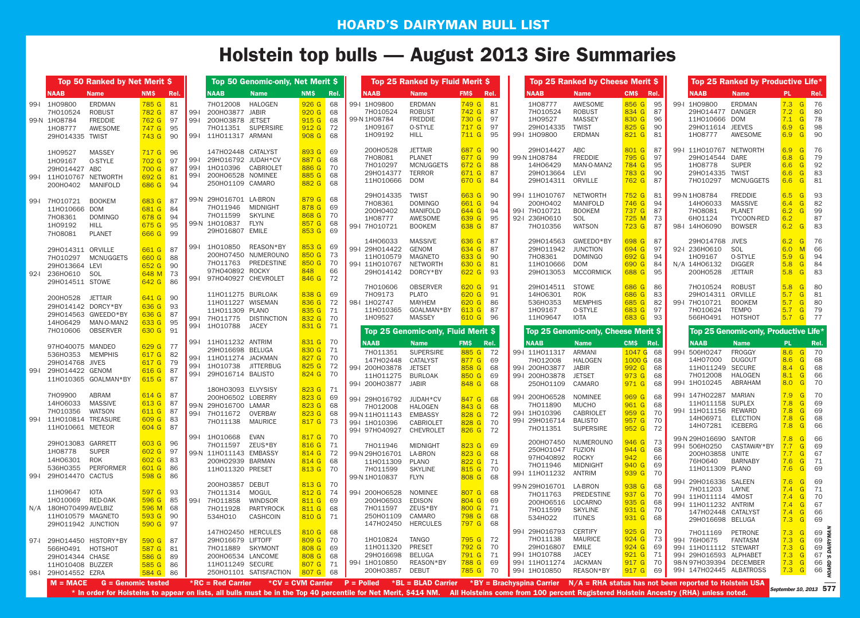#### **HOARD'S DAIRYMAN BULL LIST**

# **Holstein top bulls — August 2013 Sire Summaries**

|      |                                                                                                        | Top 50 Ranked by Net Merit \$<br>Top 50 Genomic-only, Net Merit \$<br>Top 25 Ranked by Fluid Merit \$ |                                                            |                        |                           |                                                                                                                                                                                                                                                       |                                                                      |                            |                                                                                                                                                          |                                                                                                                        |                                                              | Top 25 Ranked by Cheese Merit \$    |                                                                                            |                                                                                                                       |                                                                        | Top 25 Ranked by Productive Life*  |                                                                                                                                    |                                                                                  |                                                                                                      |                                                                                                                     |
|------|--------------------------------------------------------------------------------------------------------|-------------------------------------------------------------------------------------------------------|------------------------------------------------------------|------------------------|---------------------------|-------------------------------------------------------------------------------------------------------------------------------------------------------------------------------------------------------------------------------------------------------|----------------------------------------------------------------------|----------------------------|----------------------------------------------------------------------------------------------------------------------------------------------------------|------------------------------------------------------------------------------------------------------------------------|--------------------------------------------------------------|-------------------------------------|--------------------------------------------------------------------------------------------|-----------------------------------------------------------------------------------------------------------------------|------------------------------------------------------------------------|------------------------------------|------------------------------------------------------------------------------------------------------------------------------------|----------------------------------------------------------------------------------|------------------------------------------------------------------------------------------------------|---------------------------------------------------------------------------------------------------------------------|
|      | <b>NAAB</b>                                                                                            | <b>Name</b>                                                                                           | <b>NMS</b>                                                 | Rel.                   |                           | <b>NAAB</b><br><b>Name</b>                                                                                                                                                                                                                            | <b>NMS</b>                                                           | Rel.                       | <b>NAAB</b>                                                                                                                                              | <b>Name</b>                                                                                                            | <b>FMS</b>                                                   | Rel.                                | <b>NAAB</b>                                                                                | <b>Name</b>                                                                                                           | CMS Rel.                                                               |                                    | <b>NAAB</b>                                                                                                                        | <b>Name</b>                                                                      | PL.                                                                                                  | Rel.                                                                                                                |
|      | 99-I 1H09800<br>7H010524<br>99-N 1H08784<br>1H08777<br>29H014335 TWIST                                 | ERDMAN<br><b>ROBUST</b><br><b>FREDDIE</b><br>AWESOME                                                  | 785 G 81<br>782 G<br>762 G 97<br>747 G<br>743 G            | -87<br>95<br>90        | $99-$<br>$99-1$           | 7H012008<br>HALOGEN<br>200H03877 JABIR<br>200H03878 JETSET<br>7H011351 SUPERSIRE<br>99-I 11H011317 ARMANI                                                                                                                                             | $926$ G<br>920 G<br>915 G 68<br>912 <sub>G</sub><br>908 <sub>G</sub> | 68<br>68<br>-72<br>68      | 99-I 1H09800<br>7H010524<br>99-N 1H08784<br>1H09167<br>1H09192                                                                                           | <b>ERDMAN</b><br><b>ROBUST</b><br><b>FREDDIE</b><br><b>O-STYLE</b><br><b>HILL</b>                                      | 749 G<br>742 G<br>730 G<br>717 G<br>711 G                    | -81<br>87<br>97<br>-97<br>95        | 1H08777<br>7H010524<br>1H09527<br>29H014335<br>99-I 1H09800                                | AWESOME<br><b>ROBUST</b><br><b>MASSEY</b><br><b>TWIST</b><br><b>ERDMAN</b>                                            | 856 G<br>834 G<br>830 G<br>825G<br>821 G                               | 95<br>87<br>96<br>90<br>81         | 99-I 1H09800<br>29H014477 DANGER<br>11H010666 DOM<br>29H011614 JEEVES<br>1H08777                                                   | <b>ERDMAN</b><br>AWESOME                                                         | 7.3 G 76<br>7.2<br>G<br>$7.1 \quad G$<br>6.9<br>G<br>6.9 G                                           | -80<br>- 78<br>98<br>-90                                                                                            |
|      | 1H09527<br>1H09167<br>29H014427 ABC<br>99-I 11H010767 NETWORTH<br>200H0402 MANIFOLD                    | <b>MASSEY</b><br>O-STYLE                                                                              | 717 G 96<br>702 G<br>700 G<br>692 G<br>686 G 94            | -97<br>-87<br>81       | $99-1$<br>$99-$<br>$ 99-$ | 147HO2448 CATALYST<br>29H016792 JUDAH*CV<br>1H010396 CABRIOLET<br>200H06528 NOMINEE<br>250H01109 CAMARO                                                                                                                                               | 893 G<br>887 G<br>886G<br>885G<br>882G                               | 69<br>68<br>70<br>68<br>68 | 200H0528<br>7H08081<br>7H010297<br>29H014377<br>11H010666                                                                                                | <b>JETTAIR</b><br><b>PLANET</b><br><b>MCNUGGETS</b><br>TERROR<br>DOM                                                   | 687 G<br>677 G<br>672 G<br>671 G<br>670 G                    | 90<br>99<br>88<br>-87<br>-84        | 29H014427<br>99-N 1H08784<br>14H06429<br>29H013664<br>29H014311                            | ABC<br><b>FREDDIE</b><br>MAN-O-MAN2<br>LEVI<br>ORVILLE                                                                | 801 G<br>795 G<br>784 G<br>783 G<br>762 G                              | 87<br>97<br>95<br>90<br>87         | 99-I 11H010767 NETWORTH<br>29H014544 DARE<br>1H08778<br>29H014335 TWIST<br>7H010297                                                | <b>SUPER</b><br><b>MCNUGGETS</b>                                                 | 6.9<br>$\overline{G}$<br>6.8<br>G<br>6.6<br>G<br>6.6<br>G<br>6.6<br>$\mid$ G                         | -76<br>79<br>92<br>83<br>-81                                                                                        |
|      | 99-I 7H010721 B00KEM<br>11H010666 DOM<br>7H08361<br>1H09192<br>7H08081                                 | <b>DOMINGO</b><br><b>HILL</b><br><b>PLANET</b>                                                        | 683 G<br>681 G<br>678 G<br>675 G<br>666 G 99               | -87<br>-84<br>94<br>95 |                           | 99-N 29H016701 LA-BRON<br>7H011946<br>MIDNIGHT<br><b>SKYLINE</b><br>7H011599<br>99-N 1H010837<br><b>FLYN</b><br>29H016807 EMILE                                                                                                                       | 879 G<br>878 G<br>868 G<br>857 G<br>853 G 69                         | 68<br>69<br>70<br>68       | 29H014335<br>7H08361<br>200H0402<br>1H08777<br>99-1 7H010721                                                                                             | <b>TWIST</b><br><b>DOMINGO</b><br><b>MANIFOLD</b><br><b>AWESOME</b><br><b>BOOKEM</b>                                   | 663 G<br>661 G<br>644 G<br>639 G<br>638 G                    | -90<br>94<br>94<br>95<br>-87        | 99-1 11H010767<br>200H0402<br>99-I 7H010721<br>92-I 236H0610<br>7H010356                   | <b>NETWORTH</b><br><b>MANIFOLD</b><br><b>BOOKEM</b><br>SOL<br><b>WATSON</b>                                           | 752 G<br>746 G<br>737 G<br>725 M<br>723 G                              | 81<br>94<br>87<br>73<br>87         | 99-N 1H08784<br>14H06033<br>7H08081<br>6H01124<br>98-I 14H06090                                                                    | <b>FREDDIE</b><br><b>MASSIVE</b><br><b>PLANET</b><br>TYCOON-RED<br><b>BOWSER</b> | 6.5<br>G<br>6.4<br>G<br>6.2<br>G<br>6.2<br>6.2<br>G                                                  | 93<br>82<br>99<br>87<br>83                                                                                          |
|      | 29H014311 ORVILLE<br>29H013664 LEVI<br>92-I 236H0610 SOL<br>29H014511 STOWE                            | 7H010297 MCNUGGETS                                                                                    | 661 G<br>660 G<br>652 G<br>648 M<br>642 G 86               | 87<br>88<br>90<br>73   |                           | REASON*BY<br>99-1 1H010850<br>200H07450 NUMEROUNO<br>7H011763 PREDESTINE<br>97H040892 ROCKY<br>99-I 97H040927 CHEVROLET                                                                                                                               | 853 G 69<br>850 G 73<br>850 G<br>848<br>846 G 72                     | -70<br>66                  | 14H06033<br>99-I 29H014422<br>11H010579<br>99-I 11H010767<br>29H014142                                                                                   | <b>MASSIVE</b><br>GENOM<br><b>MAGNETO</b><br>NETWORTH<br>DORCY*BY                                                      | 636 G<br>634 G<br>633 G<br>630 G<br>622 G                    | -87<br>87<br>90<br>81<br>93         | 29H014563<br>29H011942<br>7H08361<br>11H010666<br>29H013053                                | GWEEDO*BY<br><b>JUNCTION</b><br><b>DOMINGO</b><br><b>DOM</b><br><b>MCCORMICK</b>                                      | 698 G<br>694 G<br>692 G<br>690 G<br>688 G                              | 87<br>97<br>94<br>84<br>95         | 29H014768 JIVES<br>92-I 236H0610<br>1H09167<br>N/A 14H06132<br>200H0528                                                            | SOL<br><b>O-STYLE</b><br><b>DIGGER</b><br><b>JETTAIR</b>                         | 6.2<br>G<br>6.0<br>5.9<br>$\mathsf{G}$<br>5.8<br> G <br>$\mid$ G<br>5.8                              | 76<br>66<br>94<br>84<br>83                                                                                          |
|      | 200H0528 JETTAIR<br>29H014142 DORCY*BY<br>7H010606                                                     | 29H014563 GWEED0*BY<br>14H06429 MAN-0-MAN2<br>OBSERVER                                                | 641 G 90<br>636 G<br>636 G<br>633 G<br>630 G 91            | 93<br>87<br>95         | $99-I$                    | 11H011275 BURLOAK<br>11H011227 WISEMAN<br>11H011309 PLANO<br>99-1 7H011775<br><b>DISTINCTION</b><br>1H010788<br><b>JACEY</b>                                                                                                                          | 838 G 69<br>836 G 72<br>835 G 71<br>832 G<br>831 G 71                | 70                         | 7H010606<br>7H09173<br>98-1 1H02747<br>11H010365<br>1H09527                                                                                              | <b>OBSERVER</b><br><b>PLATO</b><br><b>MAYHEM</b><br>GOALMAN*BY<br><b>MASSEY</b><br>Top 25 Genomic-only, Fluid Merit \$ | 620 G<br>620 G<br>620 G<br>613 G<br>610 G                    | 91<br>91<br>86<br>-87<br>-96        | 29H014511<br>14H06301<br>536H0353<br>1H09167<br>11H09647                                   | <b>STOWE</b><br><b>ROK</b><br><b>MEMPHIS</b><br><b>O-STYLE</b><br><b>IOTA</b><br>Top 25 Genomic-only, Cheese Merit \$ | 686 G<br>686 G<br>685 G<br>683 G<br>683 G                              | 86<br>83<br>82<br>97<br>93         | 7H010524<br>29H014311 ORVILLE<br>99-I 7H010721<br>7H010624<br>566HO491 HOTSHOT                                                     | <b>ROBUST</b><br><b>BOOKEM</b><br>TEMPO<br>Top 25 Genomic-only, Productive Life* | 5.8<br>G<br>5.7<br>G<br>5.7<br>G<br>5.7<br> G <br>5.7 G 77                                           | -80<br>-81<br>-80<br>-79                                                                                            |
| 99-1 | 97H040075 MANDEO<br>536H0353 MEMPHIS<br>29H014768 JIVES<br>29H014422 GENOM                             | 11H010365 GOALMAN*BY                                                                                  | 629 G 77<br>617 G<br>617 G 79<br>616 G<br>615 G 87         | 82<br>-87              | $99-I$                    | 99-I 11H011232 ANTRIM<br>29H016698 BELUGA<br>99-I 11H011274 JACKMAN<br>1H010738 JITTERBUG<br>99-1 29H016714 BALISTO                                                                                                                                   | 831 G 70<br>830 G 71<br>827 G<br>825 G<br>824 G 70                   | 70<br>-72                  | <b>NAAB</b><br>7H011351<br>147H02448<br>99-I 200H03878<br>11H011275<br>99-I 200H03877 JABIR                                                              | <b>Name</b><br><b>SUPERSIRE</b><br>CATALYST<br><b>JETSET</b><br>BURLOAK                                                | <b>FMS</b><br>885 G<br>877 G<br>858 G<br>850 G<br>848 G      | Rel.<br>-72<br>69<br>68<br>69<br>68 | <b>NAAB</b><br>99-1 11H011317<br>7H012008<br>99-I 200H03877<br>99-I 200H03878<br>250H01109 | <b>Name</b><br>ARMANI<br><b>HALOGEN</b><br>JABIR<br><b>JETSET</b><br>CAMARO                                           | <b>CMS</b><br>1047 <sub>G</sub><br>1000 G<br>$992$ G<br>973 G<br>971 G | Rel.<br>68<br>68<br>68<br>68<br>68 | <b>NAAB</b><br>99-I 506H0247<br>14H07000<br>11H011249 SECURE<br>7H012008<br>99-I 1H010245                                          | <b>Name</b><br><b>FROGGY</b><br><b>DUGOUT</b><br>HALOGEN<br>ABRAHAM              | PL.<br>8.6 G<br>8.6<br>G<br>8.4<br>G<br>8.1<br>G<br>8.0 <sub>6</sub>                                 | Rel.<br>70<br>68<br>68<br>66<br>70                                                                                  |
|      | 7H09900<br>14H06033<br>7H010356<br>99-I 11H010814 TREASURE<br>11H010661 METEOR                         | ABRAM<br>MASSIVE<br>WATSON                                                                            | 614 G<br>613G<br>611 G 87<br>609 G 83<br>604 G 87          | 87<br>-87              |                           | 180H03093 ELVYSISY<br>200H06502 LOBERRY<br>99-N 29H016700 LAMAR<br>99-1 7H011672<br>OVERBAY<br>7H011138<br><b>MAURICE</b>                                                                                                                             | 823 G 71<br>823 G 69<br>823 G 68<br>$823$ G<br>817 G 73              | 68                         | 99-I 29H016792<br>7H012008<br>99-N 11H011143 EMBASSY<br>99-I 1H010396<br>99-I 97H040927                                                                  | JUDAH*CV<br><b>HALOGEN</b><br><b>CABRIOLET</b><br>CHEVROLET                                                            | 847 G<br>843 G<br>828 G<br>828 G<br>826 G 72                 | 68<br>68<br>72<br>70                | 99-I 200H06528<br>7H011890<br>99-I 1H010396<br>99-I 29H016714<br>7H011351                  | NOMINEE<br><b>MUCHO</b><br><b>CABRIOLET</b><br><b>BALISTO</b><br><b>SUPERSIRE</b>                                     | 969 G<br>961 G<br>959 G<br>957 G<br>952 <sub>G</sub>                   | 68<br>68<br>70<br>70<br>72         | 99-I 147H02287 MARIAN<br>11H011158 SUPLEX<br>99-I 11H011156 REWARD<br>14H06971 ELECTION<br>14H07281                                | <b>ICEBERG</b>                                                                   | 7.9<br>G<br>7.8<br>G<br>7.8<br>G<br>7.8<br>G<br>7.8<br>G                                             | 70<br>69<br>69<br>68<br>66                                                                                          |
|      | 29H013083 GARRETT<br>1H08778<br>14H06301 ROK<br>99-I 29H014470 CACTUS                                  | <b>SUPER</b><br>536H0355 PERFORMER                                                                    | 603 G 96<br>602 G 97<br>$602 G$ 83<br>601 G 86<br>598 G 86 |                        | 99-1                      | 1H010668<br>EVAN<br>7H011597<br>ZEUS*BY<br>99-N 11HO11143 EMBASSY<br>200H02939 BARMAN<br>11H011320 PRESET                                                                                                                                             | 817 G 70<br>816 G 71<br>814 G 72<br>814 G 68<br>813 G 70             |                            | 7H011946<br>99-N 29HO16701 LA-BRON<br>11H011309 PLANO<br>7H011599<br>99-N 1H010837                                                                       | MIDNIGHT<br><b>SKYLINE</b><br>FLYN                                                                                     | 823 G<br>823 G 68<br>822 G 71<br>815 G 70<br>808 G 68        | 69                                  | 250H01047 FUZION<br>97H040892 ROCKY<br>7H011946<br>99-I 11H011232                          | 200H07450 NUMEROUNO<br><b>MIDNIGHT</b><br>ANTRIM                                                                      | $946$ G<br>944 G<br>942<br>940 G<br>939 <sub>6</sub>                   | 73<br>68<br>66<br>69<br>70         | 99-N 29H016690 SANTOR<br>99-I 506H0250<br>200H03858 UNITE<br>76H0640<br>11H011309 PLANO                                            | CASTAWAY*BY<br>BARNABY                                                           | 7.8<br>7.7 <sub>G</sub><br>$7.7$ G<br>7.6 G 71<br>7.6 G 69                                           | 66<br>69<br>67                                                                                                      |
|      | 11H09647 IOTA<br>1H010069 RED-0AK<br>N/A 180HO70499 AVELBIZ<br>11H010579 MAGNETO<br>29H011942 JUNCTION |                                                                                                       | 597 G 93<br>596 G 85<br>596 M 68<br>593 G 90<br>590 G 97   |                        | $\vert$ 99-1              | 200H03857 DEBUT<br>7H011314<br>MOGUL<br>WINDSOR<br>7H011858<br>PARTYROCK<br>7H011928<br>CASHCOIN<br>534H010                                                                                                                                           | 813 G 70<br>812 G 74<br>811 G 69<br>811 G 68<br>810 G 71             |                            | 99-1 200H06528<br>200H06503<br>7H011597<br>250H01109 CAMARO<br>147H02450 HERCULES                                                                        | NOMINEE<br>EDISON<br>ZEUS*BY                                                                                           | 807 G<br>804 G 69<br>800 G 71<br>798 G 68<br><b>797 G</b> 68 | 68                                  | 99-N 29H016701 LA-BRON<br>7H011763<br>200H06516<br>7H011599<br>534H022                     | PREDESTINE<br>LOCARNO<br><b>SKYLINE</b><br><b>ITUNES</b>                                                              | 938 G<br>937 G<br>935 G 68<br>$931$ G<br>931 G                         | 68<br>70<br>70<br>68               | 99-I 29H016336 SALEEN<br>7H011203 LAYNE<br>99-I 11H011114 4M0ST<br>99-I 11H011232 ANTRIM<br>147H02448 CATALYST<br>29H016698 BELUGA |                                                                                  | 7.6 <sub>6</sub><br>7.4 G 71<br>7.4 G 70<br>7.4 <sub>G</sub><br>7.4 <sub>G</sub><br>7.3 <sub>G</sub> | - 69<br>67<br>- 66<br>- 69                                                                                          |
|      | 97-1 29H014450 HISTORY*BY<br>566H0491 HOTSHOT<br>29H014344 CHASE<br>11H010408 BUZZER                   |                                                                                                       | 590 G 87<br>587 G 81<br>586 G 89<br>585 G 86               |                        |                           | 147H02450 HERCULES<br>29H016679 LIFTOFF<br>7H011889 SKYMONT<br>200H06534 LANCOME<br>11H011249 SECURE                                                                                                                                                  | 810 G 68<br>809 G 70<br>808 G 69<br>808 G 68<br>807 G 71             |                            | 1H010824<br>11H011320<br>29H016698<br>99-1 1H010850                                                                                                      | TANGO<br><b>PRESET</b><br>BELUGA<br>REASON*BY                                                                          | 795 G 72<br><b>792 G</b> 70<br>791 G 71<br><b>788 G</b> 69   |                                     | 99-I 29H016793<br>7H011138<br>29H016807<br>99-1 1H010788<br>99-1 11H011274                 | <b>CERTIFY</b><br>MAURICE<br><b>EMILE</b><br><b>JACEY</b><br><b>JACKMAN</b>                                           | $925$ G<br>$924$ G<br>$924$ G<br>921 <sub>G</sub><br>917 G             | 70<br>-73<br>69<br>71<br>70        | 7H011169 PETRONE<br>99-1 76H0675<br>99-I 11H011112 STEWART<br>99-I 29H016593 ALPHABET<br>98-N 97H039394 DECEMBER                   | FANTASM                                                                          | $7.3$ G<br>7.3 <sub>G</sub><br>$7.3$ G                                                               | $69$ $\frac{5}{5}$<br>$69$<br>$69$ $\leq$<br>$\frac{118}{7.3}$ $\frac{6}{9}$ 67 %<br><mark>7.3 G</mark> 66 <b>a</b> |
|      | 98-I 29H014552 EZRA                                                                                    | $M = MACE$ $G = G$ enomic tested                                                                      | 584 G 86                                                   |                        |                           | 250H01101 SATISFACTION<br>$*RC$ = Red Carrier<br>* In order for Holsteins to appear on lists, all bulls must be in the Top 40 percentile for Net Merit, S414 NM. All Holsteins come from 100 percent Registered Holstein Ancestry (RHA) unless noted. | 807 G 68                                                             |                            | 200H03857 DEBUT<br>*CV = CVM Carrier  P = Polled  *BL = BLAD Carrier  *BY = Brachyspina Carrier $N/A$ = RHA status has not been reported to Holstein USA |                                                                                                                        | <b>785 G</b> 70                                              |                                     | 99-1 1H010850                                                                              | REASON*BY                                                                                                             | 917 <sub>G</sub>                                                       | 69 I                               | 99-I 147H02445 ALBATROSS                                                                                                           |                                                                                  |                                                                                                      | $\frac{7.3}{9}$ 66 $\frac{3}{2}$<br>September 10, 2013 577                                                          |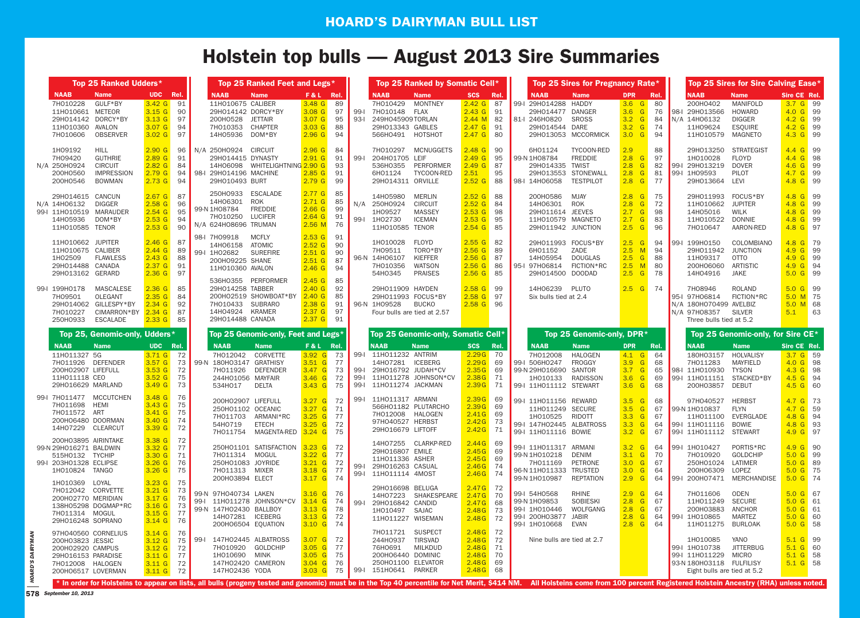# **Holstein top bulls — August 2013 Sire Summaries**

|                                                                                                                                | Top 25 Ranked Udders*                                                                  |                                                                                                                     |                                    | Top 25 Ranked Feet and Legs*                                                                                                                                                                                                                                                                                                                |                                                                                              |                                  |                                  | Top 25 Ranked by Somatic Cell*                                                                                                                  |                                                                                        |                                    | Top 25 Sires for Pregnancy Rate*                                                                                                                                                |                                                                                         |                                    |                                                                                                              | Top 25 Sires for Sire Calving Ease*                                                       |                                                                                  |    |
|--------------------------------------------------------------------------------------------------------------------------------|----------------------------------------------------------------------------------------|---------------------------------------------------------------------------------------------------------------------|------------------------------------|---------------------------------------------------------------------------------------------------------------------------------------------------------------------------------------------------------------------------------------------------------------------------------------------------------------------------------------------|----------------------------------------------------------------------------------------------|----------------------------------|----------------------------------|-------------------------------------------------------------------------------------------------------------------------------------------------|----------------------------------------------------------------------------------------|------------------------------------|---------------------------------------------------------------------------------------------------------------------------------------------------------------------------------|-----------------------------------------------------------------------------------------|------------------------------------|--------------------------------------------------------------------------------------------------------------|-------------------------------------------------------------------------------------------|----------------------------------------------------------------------------------|----|
| <b>NAAB</b><br>7H010228<br>11H010661 METEOR<br>11H010360 AVALON<br>7H010606                                                    | <b>Name</b><br>GULF*BY<br>29H014142 DORCY*BY<br><b>OBSERVER</b>                        | UDC Rel.<br>3.42 <sub>G</sub><br>3.15 <sub>G</sub><br>3.13 <sub>G</sub><br>3.07 <sub>G</sub><br>3.02 <sub>G</sub>   | 91<br>90<br>97<br>94<br>97         | <b>NAAB</b><br><b>Name</b><br>11H010675 CALIBER<br>29H014142 DORCY*BY<br>200H0528<br>JETTAIR<br>7H010353<br>CHAPTER<br>14H05936<br>DOM*BY                                                                                                                                                                                                   | F&L Rel.<br>3.48 <sub>G</sub><br>$3.08$ G<br>$3.07$ G<br>3.03 <sub>G</sub><br>2.96 G         | 89<br>97<br>95<br>88<br>94       | 93-l                             | <b>NAAB</b><br><b>Name</b><br>7H010429<br><b>MONTNEY</b><br>99-I 7H010148 FLAX<br>249H045909T0RLAN<br>29H013343 GABLES<br>566HO491 HOTSHOT      | <b>SCS</b><br>2.42 <sub>G</sub><br>$2.43$ G<br>2.44 M<br>$2.47$ G<br>2.47 <sub>G</sub> | Rel.<br>87<br>91<br>82<br>91<br>80 | <b>NAAB</b><br><b>Name</b><br>99-1 29H014288<br>HADDY<br>29H014477 DANGER<br>81-1 246H0820<br><b>SROSS</b><br>29H014544 DARE<br>29H013053 MCCORMICK                             | <b>DPR</b><br>$3.6$ $G$<br>3.6 <sub>6</sub><br>3.2<br>G<br>3.2<br>G<br>3.0 <sub>6</sub> | Rel.<br>80<br>76<br>84<br>74<br>94 | <b>NAAB</b><br>200H0402<br>98-1 29H013566<br>N/A 14H06132<br>11H09624<br>11H010579                           | <b>Name</b><br>MANIFOLD<br>HOWARD<br><b>DIGGER</b><br><b>ESQUIRE</b><br>MAGNETO           | Sire CE Rel.<br>3.7 G 99<br>4.0 G 99<br>$4.2$ G 99<br>4.2 G 99<br>4.3 G 99       |    |
| 1H09192<br>7H09420<br>N/A 250H0924<br>200H0560<br>200H0546                                                                     | <b>HILL</b><br><b>GUTHRIE</b><br><b>CIRCUIT</b><br><b>IMPRESSION</b><br><b>BOWMAN</b>  | 2.90 <sub>G</sub><br>2.89 <sub>G</sub><br>2.82 <sub>G</sub><br>2.79 <sub>G</sub><br>2.73 <sub>G</sub>               | 96<br>91<br>84<br>94<br>94         | N/A 250H0924<br><b>CIRCUIT</b><br>29H014415 DYNASTY<br>WHITELIGHTNING 2.90 G<br>14H06098<br>98-I 29H014196 MACHINE<br>29H010493 BURT                                                                                                                                                                                                        | 2.96 <sub>G</sub><br>$2.91$ G<br>2.85G<br>2.79 <sub>G</sub>                                  | 84<br>91<br>93<br>91<br>99       | 99-l                             | 7H010297<br>MCNUGGETS<br>204H01705 LEIF<br>536H0355<br>PERFORMER<br>6H01124<br>TYCOON-RED<br>29H014311 ORVILLE                                  | $2.48$ G<br>2.49 <sub>G</sub><br>2.49 <sub>G</sub><br>2.51<br>2.52 <sub>G</sub>        | 90<br>95<br>87<br>95<br>88         | 6H01124<br>TYCOON-RED<br>99-N 1H08784<br><b>FREDDIE</b><br>29H014335 TWIST<br>29H013553 STONEWALL<br>98-1 14H06058<br><b>TESTPILOT</b>                                          | 2.9<br>2.8<br>G<br>2.8<br>G<br>2.8<br>G<br>2.8 <sub>6</sub>                             | 88<br>97<br>82<br>81<br>77         | 29H013250<br>1H010028<br>99-1 29H013219<br>99-1 1H09593<br>29H013664                                         | <b>STRATEGIST</b><br><b>FLOYD</b><br><b>DOVER</b><br>PILOT<br>LEVI                        | 4.4 G 99<br>4.4 G 98<br>4.6 G 99<br>4.7 G 99<br>4.8 G 99                         |    |
| 29H014615 CANCUN<br>N/A 14H06132<br>14H05936<br>11H010585 TENOR                                                                | <b>DIGGER</b><br>99-I 11H010519 MARAUDER<br>DOM*BY                                     | 2.67 <sub>G</sub><br>2.58 <sub>G</sub><br>$2.54$ G<br>2.53 <sub>G</sub><br>2.53 <sub>G</sub>                        | 87<br>96<br>95<br>94<br>90         | 250H0933<br><b>ESCALADE</b><br><b>ROK</b><br>14H06301<br><b>FREDDIE</b><br>99-N 1H08784<br><b>LUCIFER</b><br>7H010250<br>N/A 624H08696 TRUMAN                                                                                                                                                                                               | 2.77 <sub>G</sub><br>$2.71$ G<br>2.66 <sub>G</sub><br>$2.64$ G<br>$2.56$ M                   | 85<br>85<br>99<br>91<br>76       |                                  | 14H05980<br><b>MERLIN</b><br>N/A 250H0924<br><b>CIRCUIT</b><br><b>MASSEY</b><br>1H09527<br>99-I 1H02730<br><b>ICEMAN</b><br>11H010585 TENOR     | $2.52$ G<br>2.52 <sub>G</sub><br>2.53 <sub>G</sub><br>2.53 <sub>G</sub><br>$2.54$ G    | 88<br>84<br>98<br>95<br>85         | 200H0586<br><b>MJAY</b><br>14H06301<br><b>ROK</b><br>29H011614 JEEVES<br>11H010579 MAGNETO<br>29H011942 JUNCTION                                                                | 2.8<br>G<br>2.8<br>G<br>2.7<br>G<br>2.7<br>$\mathbf{G}$<br>$2.5$ G                      | 75<br>72<br>98<br>83<br>96         | 29H011993 FOCUS*BY<br>11H010662<br>14H05016<br>11H010522<br>7H010647                                         | <b>JUPITER</b><br><b>WILK</b><br>DONNIE<br>AARON-RED                                      | 4.8 G 99<br>4.8 G 99<br>4.8 G 99<br>4.8 G 99<br>4.8 G 97                         |    |
| 11H010662 JUPITER<br>11H010675 CALIBER<br>1H02509<br>29H014488 CANADA<br>29H013162 GERARD                                      | <b>FLAWLESS</b>                                                                        | 2.46 <sub>G</sub><br>$2.44 \text{ G}$<br>2.43 <sub>G</sub><br>2.37 <sub>G</sub><br>2.36 <sub>G</sub>                | 87<br>89<br>88<br>91<br>97         | 98-I 7H09918<br><b>MCFLY</b><br>ATOMIC<br>14H06158<br><b>SUREFIRE</b><br>99-I 1H02682<br>200H09225 SHANE<br>11H010360 AVALON<br>536H0355 PERFORMER                                                                                                                                                                                          | $2.53$ G<br>2.52 <sub>G</sub><br>$2.51$ G<br>$2.51$ G<br>$2.46$ G<br>$2.45$ G                | 91<br>90<br>90<br>87<br>94<br>85 |                                  | 1H010028<br><b>FLOYD</b><br>7H09511<br>TORO*BY<br>KIEFFER<br>96-N 14H06107<br>7H010356<br><b>WATSON</b><br><b>PRAISES</b><br>54H0345            | 2.55G<br>2.56 <sub>G</sub><br>2.56 <sub>G</sub><br>2.56 <sub>G</sub><br>$2.56$ G       | 82<br>89<br>87<br>86<br>85         | 29H011993 FOCUS*BY<br>6H01152<br>ZADE<br><b>DOUGLAS</b><br>14H05954<br>95-I 97H06814<br>FICTION*RC<br>29H014500 DOODAD                                                          | $2.5$ G<br>2.5 M<br>$2.5$ G<br>2.5<br>M<br>$2.5$ G                                      | 94<br>94<br>88<br>80<br>78         | 99-1 199H0150<br>29H011942<br>11H09317<br>200H06060<br>14H04916                                              | COLOMBIANO<br><b>JUNCTION</b><br><b>OTTO</b><br>ARTISTIC<br>JAKE                          | 4.8 G 79<br>4.9 G 99<br>4.9 G 99<br>4.9 G 94<br>$5.0 G$ 99                       |    |
| 99-1 199H0178<br>7H09501<br>7H010227<br>250H0933                                                                               | <b>MASCALESE</b><br>OLEGANT<br>29H014062 GILLESPY*BY<br>CIMARRON*BY<br><b>ESCALADE</b> | 2.36 <sub>G</sub><br>2.35G<br>2.34 <sub>G</sub><br>2.34 G<br>2.33 <sub>G</sub>                                      | 85<br>84<br>92<br>87<br>85         | 29H014258 TABBER<br>200H02519 SHOWBOAT*BY<br>7H010433<br>SUBRARO<br>14H04924<br>KRAMER<br>29H014488 CANADA                                                                                                                                                                                                                                  | 2.40 <sub>G</sub><br>2.40 <sub>G</sub><br>2.38 <sub>G</sub><br>$2.37$ G<br>2.37 <sub>G</sub> | 92<br>85<br>91<br>97<br>91       |                                  | 29H011909 HAYDEN<br>29H011993 FOCUS*BY<br>96-N 1H09528<br><b>BUCKO</b><br>Four bulls are tied at 2.57                                           | 2.58 <sub>G</sub><br>2.58 <sub>G</sub><br>2.58 <sub>G</sub>                            | 99<br>97<br>96                     | 14H06239<br>PLUTO<br>Six bulls tied at 2.4                                                                                                                                      | $2.5$ G                                                                                 | 74                                 | 7H08946<br>95-I 97H06814<br>N/A 180H070499 AVELBIZ<br>N/A 97H08357<br>Three bulls tied at 5.2                | <b>ROLAND</b><br>FICTION*RC<br><b>SILVER</b>                                              | 5.0 G 99<br>5.0 M 75<br>$5.0 M$ 68<br>5.1                                        | 63 |
|                                                                                                                                | Top 25, Genomic-only, Udders*                                                          |                                                                                                                     |                                    | Top 25 Genomic-only, Feet and Legs*                                                                                                                                                                                                                                                                                                         |                                                                                              |                                  |                                  | Top 25 Genomic-only, Somatic Cell*                                                                                                              |                                                                                        |                                    | Top 25 Genomic-only, DPR*                                                                                                                                                       |                                                                                         |                                    |                                                                                                              | Top 25 Genomic-only, for Sire CE*                                                         |                                                                                  |    |
| <b>NAAB</b><br>11H011327 5G<br>7H011926 DEFENDER<br>200H02907 LIFEFULL<br>11H011118 CEO<br>29H016629 MARLAND                   | <b>Name</b>                                                                            | <b>UDC</b><br>3.71 <sub>G</sub><br>3.57 <sub>G</sub><br>3.53 <sub>G</sub><br>3.52 <sub>G</sub><br>3.49 <sub>G</sub> | Rel.<br>72<br>73<br>72<br>75<br>73 | <b>NAAB</b><br><b>Name</b><br>7H012042 CORVETTE<br>99-N 180H03147 GRATHISY<br>7H011926<br><b>DEFENDER</b><br>244H01056 MAYFAIR<br><b>DELTA</b><br>534H017                                                                                                                                                                                   | F&L Rel.<br>3.92 <sub>6</sub><br>3.51 G<br>3.47 G<br>3.46 <sub>6</sub><br>3.43 <sub>6</sub>  | -73<br>77<br>73<br>72<br>75      | 99-1<br>99-1<br>$99 - 1$<br>99-l | <b>NAAB</b><br><b>Name</b><br>11H011232 ANTRIM<br>14H07281<br><b>ICEBERG</b><br>29H016792 JUDAH*CV<br>11H011278 JOHNSON*CV<br>11H011274 JACKMAN | <b>SCS</b><br>2.29G<br>2.29G<br>2.35G<br>2.38G<br>2.39G                                | Rel.<br>70<br>69<br>69<br>71<br>71 | <b>NAAB</b><br><b>Name</b><br>7H012008<br><b>HALOGEN</b><br><b>FROGGY</b><br>99-I 506H0247<br>SANTOR<br>99-N 29H016690<br><b>RADISSON</b><br>1H010133<br>99-I 11H011112 STEWART | <b>DPR</b><br>4.1<br>G<br>3.9<br>G<br>3.7<br>G<br>3.6<br>G<br>3.6 <sub>6</sub>          | Rel.<br>64<br>68<br>65<br>69<br>68 | <b>NAAB</b><br>180H03157<br>7H011283<br>98-1 11H010930<br>99-1 11H011151<br>200H03857                        | <b>Name</b><br>HOLVALISY<br><b>MAYFIELD</b><br><b>TYSON</b><br>STACKED*BY<br><b>DEBUT</b> | Sire CE Rel.<br>3.7 G 59<br>4.0 G 98<br>4.3 G 98<br>$4.5$ G $94$<br>$4.5 \ G$ 60 |    |
| 99-I 7H011477<br>7H011698<br>7H011572 ART<br>200H06480 DOORMAN<br>14H07229 CLEARCUT                                            | <b>MCCUTCHEN</b><br>HEMI                                                               | 3.48 <sub>G</sub><br>3.43 <sub>G</sub><br>3.41 <sub>G</sub><br>3.40 <sub>6</sub><br>3.39 <sub>6</sub>               | 76<br>75<br>75<br>74<br>72         | 200H02907 LIFEFULL<br>250H01102 OCEANIC<br>7H011703<br>ARMANI*RC<br>54H0719<br><b>ETECH</b><br>7H011754<br>MAGENTA-RED                                                                                                                                                                                                                      | 3.27 <sub>G</sub><br>$3.27$ G<br>3.25 <sub>6</sub><br>3.25<br>G<br>$3.24$ G                  | 72<br>71<br>77<br>72<br>75       | 99-1                             | 11H011317 ARMANI<br>566H01182 PLUTARCHO<br>7H012008 HALOGEN<br>97H040527 HERBST<br>29H016679 LIFTOFF                                            | 2.39G<br>2.39G<br>2.41G<br>2.42G<br>2.42G                                              | 69<br>69<br>69<br>73<br>71         | 99-I 11H011156 REWARD<br>11H011249 SECURE<br>1H010525<br>RIDOTT<br>99-I 147H02445 ALBATROSS<br>99-I 11H011116 BOWIE                                                             | 3.5<br>G<br>3.5<br>G<br>3.3 <sub>6</sub><br>3.3<br>G<br>3.2 <sub>6</sub>                | 68<br>67<br>67<br>64<br>67         | 97H040527<br>99-N 1H010837<br>11H011100<br>99-1 11H011116<br>99-1 11H011112 STEWART                          | <b>HERBST</b><br><b>FLYN</b><br>EVERGLADE<br><b>BOWIE</b>                                 | 4.7 G 73<br>4.7 G 59<br>4.8 G 94<br>4.8 G 93<br>4.9 G 97                         |    |
| 200H03895 AIRINTAKE<br>99-N 29H016271 BALDWIN<br>515H0132 TYCHIP<br>99-I 203H01328 ECLIPSE<br>1H010824 TANGO<br>1H010369 LOYAL |                                                                                        | 3.38 <sub>G</sub><br>3.32 <sub>6</sub><br>3.30 G 71<br>3.26 <sub>G</sub><br>$3.26$ G<br>$3.23$ G                    | 72<br>77<br>76<br>75<br>75         | 250H01101 SATISFACTION 3.23 G<br>7H011314 MOGUL<br>250H01083 JOYRIDE<br>7H011313 MIXER<br>200H03894 ELECT                                                                                                                                                                                                                                   | 3.22 G 77<br>$3.21$ G 72<br>3.18 G 77<br>3.17 G 74                                           | 72                               |                                  | 14H07255 CLARKP-RED<br>29H016807 EMILE<br>11H011336 ASHER<br>99-I 29H016263 CASUAL<br>99-I 11H011114 4M0ST                                      | 2.44G<br>2.45G<br>2.45G<br>$2.46G$ 74<br>2.46G 74                                      | 69<br>69<br>69                     | 99-I 11H011317 ARMANI<br>99-N 1H010218<br>DENIM<br>PETRONE<br>7H011169<br>96-N 11H011333 TRUSTED<br>99-N 1H010987<br><b>REPTATION</b>                                           | 3.2 <sub>6</sub><br>3.1 <sub>G</sub><br>3.0 G 67<br>3.0 G 64<br>2.9 <sub>6</sub>        | 64<br>70<br>64                     | $99 - 1 H010427$<br>7H010920<br>250H01024 LATIMER<br>200H06309 LOPEZ<br>99-1 200H07471 MERCHANDISE           | PORTIS*RC<br><b>GOLDCHIP</b>                                                              | 4.9 G 90<br>$5.0 G$ 99<br>5.0 G 89<br>$5.0 G$ 75<br>$5.0 G$ 74                   |    |
| 7H012042 CORVETTE<br>200H02770 MERIDIAN<br>7H011314 MOGUL<br>29H016248 SOPRANO                                                 | 138H05298 DOGMAP*RC                                                                    | $3.21$ G<br>3.17 <sub>G</sub><br>3.16 <sub>G</sub><br>3.15 <sub>G</sub><br>$3.14$ G                                 | 73<br>76<br>73<br>77<br>76         | 99-N 97H040734 LAKEN<br>99-l<br>99-N 147H02430 BALLBOY<br>14H07281 ICEBERG<br>200H06504 EQUATION                                                                                                                                                                                                                                            | $3.16$ G 76<br>$3.14$ G<br>3.13 G 78<br>3.13 G 72<br>3.10 G 74                               | -74                              | 99-1                             | 29H016698 BELUGA<br>14H07223 SHAKESPEARE<br>29H016842 CANDID<br>1H010497 SAJAC<br>11H011227 WISEMAN                                             | 2.47G 72<br>2.47G<br>2.47 <sub>G</sub><br>$2.48G$ 73<br>$2.48G$ 72                     | 70<br>68                           | 99-1 54H0568<br>RHINE<br>99-N 1H09853<br>SOBIESKI<br>WOLFGANG<br>99-1 1H010446<br>99-I 200H03877 JABIR<br>99-1 1H010668<br>EVAN                                                 | 2.9 <sub>6</sub><br>2.8 G 67<br>$2.8$ G<br>$2.8$ G<br>$2.8$ G 64                        | 64<br>67<br>64                     | 7H011606<br>11H011249 SECURE<br>200H03883 ANCHOR<br>99-1 1H010865<br>11H011275 BURLOAK                       | ODEN<br><b>MARTEZ</b>                                                                     | 5.0 G 67<br>5.0 G 61<br>5.0 G 61<br>5.0 G 60<br>$5.0 G$ 58                       |    |
| 200H03823 JESSIC<br>200H02920 CAMPUS<br>29H016153 PARADISE<br>7H012008 HALOGEN<br>200H06517 LOVERMAN                           | 97H040560 CORNELIUS                                                                    | $3.14$ G<br>$3.12$ G<br>$3.12$ G<br>$3.11$ G<br>$3.11$ G<br>$3.11$ G                                                | 76<br>72<br>77<br>72<br>72         | 75 99-1 147H02445 ALBATROSS<br>7H010920 GOLDCHIP<br>1H010690 MINK<br>147H02420 CAMERON<br>147H02436 YODA<br>* In order for Holsteins to appear on lists, all bulls (progeny tested and genomic) must be in the Top 40 percentile for Net Merit, \$414 NM. All Holsteins come from 100 percent Registered Holstein Ancestry (RHA) unless not | 3.07 G 72<br>3.05 <sub>6</sub><br>3.05 G 75<br>3.04 G 76<br>3.03 <sub>6</sub>                | 77                               |                                  | 7H011721 SUSPECT<br>244H0937<br>TIRSVAD<br>76H0691<br><b>MILKDUD</b><br>200H06440 DOMINIC<br>250H01100 ELEVATOR<br>75 99-1 151H0641 PARKER      | 2.48G 72<br>2.48G 72<br>$2.48G$ 71<br>2.48G 70<br>$2.48G$ 69<br>$2.48G$ 68             |                                    | Nine bulls are tied at 2.7                                                                                                                                                      |                                                                                         |                                    | 1H010085<br>99-1 1H010738<br>99-1 11H011229 MICRO<br>93-N 180H03118 FULFILISY<br>Eight bulls are tied at 5.2 | YANO<br><b>JITTERBUG</b>                                                                  | $5.1 \t{G}$ 99<br>$5.1 \, \text{G}$ 60<br>$5.1 \, \text{G}$ 58<br>$5.1 \t{G}$ 58 |    |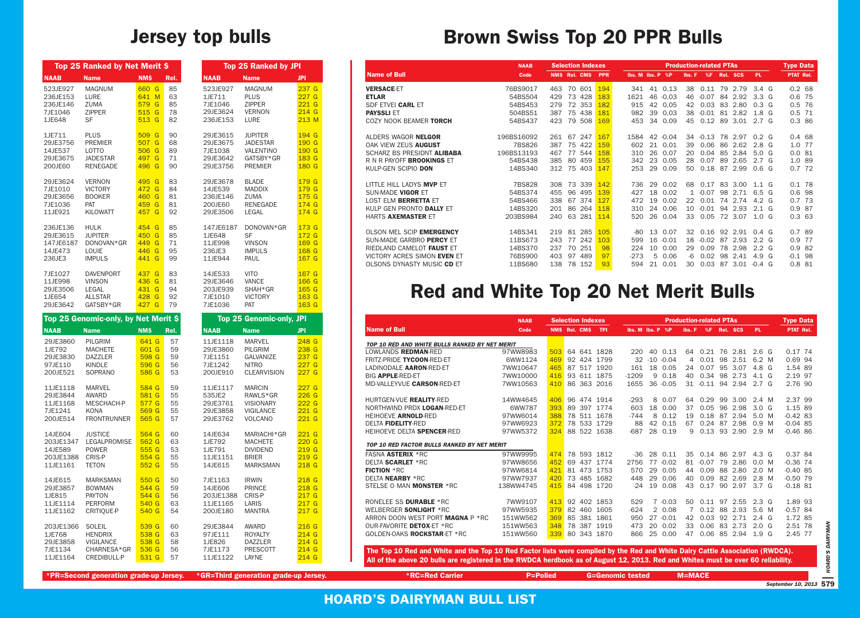|                                                                      | Top 25 Ranked by Net Merit \$                                                                        |                                                          |                                    |                                                                       | <b>Top 25 Ranked by JPI</b>                                                                              |                                                                                                                                                            |
|----------------------------------------------------------------------|------------------------------------------------------------------------------------------------------|----------------------------------------------------------|------------------------------------|-----------------------------------------------------------------------|----------------------------------------------------------------------------------------------------------|------------------------------------------------------------------------------------------------------------------------------------------------------------|
| <b>NAAB</b>                                                          | <b>Name</b>                                                                                          | <b>NMS</b>                                               | Rel.                               | <b>NAAB</b>                                                           | <b>Name</b>                                                                                              | JPI                                                                                                                                                        |
| 523JE927<br>236JE153<br>236JE146<br>7JE1046<br>1JE648                | <b>MAGNUM</b><br>LURE<br><b>ZUMA</b><br><b>ZIPPER</b><br>SF                                          | 660 G<br>641 M<br>579<br>G<br>515<br>G<br>513 G          | 85<br>63<br>85<br>78<br>82         | 523JE927<br>1JE711<br>7JE1046<br>29JE3624<br>236JE153                 | <b>MAGNUM</b><br><b>PLUS</b><br><b>ZIPPER</b><br><b>VERNON</b><br>LURE                                   | 237 G<br>227 <sub>G</sub><br>221G<br>214 G<br>213 M                                                                                                        |
| 1JE711<br>29JE3756<br>14JE537<br>29JE3675<br>200JE60                 | <b>PLUS</b><br><b>PREMIER</b><br>LOTTO<br><b>JADESTAR</b><br><b>RENEGADE</b>                         | 509<br>G<br>507<br>G<br>506<br>G<br>497<br>G<br>496<br>G | 90<br>68<br>89<br>71<br>90         | 29JE3615<br>29JE3675<br>7JE1038<br>29JE3642<br>29JE3756               | <b>JUPITER</b><br><b>JADESTAR</b><br><b>VALENTINO</b><br>GATSBY*GR<br><b>PREMIER</b>                     | 194 G<br>190 G<br>190 G<br>183 G<br>180 G                                                                                                                  |
| 29JE3624<br>7JE1010<br>29JE3656<br>7JE1036<br>11JE921                | <b>VERNON</b><br><b>VICTORY</b><br><b>BOOKER</b><br>PAT<br><b>KILOWATT</b>                           | G<br>495<br>472<br>G<br>460<br>G<br>459<br>G<br>457<br>G | 83<br>84<br>81<br>81<br>92         | 29JE3678<br>14JE539<br>236JE146<br>200JE60<br>29JE3506                | <b>BLADE</b><br><b>MADDIX</b><br><b>ZUMA</b><br><b>RENEGADE</b><br>LEGAL                                 | 179 G<br>179 G<br>175 G<br>174 G<br>174 G                                                                                                                  |
| 236JE136<br>29JE3615<br>147JE6187<br>14JE473<br>236JE3               | <b>HULK</b><br><b>JUPITER</b><br>DONOVAN*GR<br>LOUIE<br><b>IMPULS</b>                                | 454<br>G<br>450<br>G<br>449<br>G<br>446<br>G<br>441<br>G | 85<br>85<br>71<br>95<br>99         | 147JE6187<br>1JE648<br>11JE998<br>236JE3<br>11JE944                   | DONOVAN*GR<br><b>SF</b><br><b>VINSON</b><br><b>IMPULS</b><br>PAUL                                        | 173 G<br>172 G<br>169 G<br>168 G<br>167 G                                                                                                                  |
| 7JE1027<br>11JE998<br>29JE3506<br>1JE654<br>29JE3642                 | <b>DAVENPORT</b><br><b>VINSON</b><br><b>LEGAL</b><br><b>ALLSTAR</b><br>GATSBY*GR                     | 437<br>G<br>436<br>G<br>431<br>G<br>428<br>G<br>427 G    | 83<br>81<br>94<br>92<br>79         | 14JE533<br>29JE3646<br>203JE939<br>7JE1010<br>7JE1036                 | <b>VITO</b><br><b>VANCE</b><br>SHAH*GR<br><b>VICTORY</b><br><b>PAT</b>                                   | 167 G<br>166 G<br>165 G<br>163 G<br>163 G                                                                                                                  |
|                                                                      |                                                                                                      |                                                          |                                    |                                                                       |                                                                                                          |                                                                                                                                                            |
|                                                                      | Top 25 Genomic-only, by Net Merit \$                                                                 |                                                          |                                    |                                                                       | <b>Top 25 Genomic-only, JPI</b>                                                                          |                                                                                                                                                            |
| <b>NAAB</b><br>29JE3860<br>1JE792<br>29JE3830<br>97JE110<br>200JE521 | <b>Name</b><br><b>PILGRIM</b><br><b>MACHETE</b><br><b>DAZZLER</b><br><b>KINDLE</b><br><b>SOPRANO</b> | <b>NM\$</b><br>641 G<br>601 G<br>598 G<br>596 G<br>586 G | Rel.<br>57<br>59<br>59<br>56<br>53 | <b>NAAB</b><br>11JE1118<br>29JE3860<br>7JE1151<br>7JE1242<br>200JE910 | <b>Name</b><br><b>MARVEL</b><br><b>PILGRIM</b><br><b>GALVANIZE</b><br><b>NITRO</b><br><b>CLEARVISION</b> | <b>JPI</b>                                                                                                                                                 |
| 11JE1118<br>29JE3844<br>11JE1168<br>7JE1241<br>200JE514              | <b>MARVEL</b><br>AWARD<br>MESCHACH-P<br>KONA<br><b>FRONTRUNNER</b>                                   | 584 G<br>581 G<br>577 G<br>569 G<br>565 G                | 59<br>55<br>55<br>55<br>57         | 11JE1117<br>535JE2<br>29JE3761<br>29JE3858<br>29JE3762                | <b>MARCIN</b><br>RAWLS*GR<br><b>VISIONARY</b><br><b>VIGILANCE</b><br><b>VOLCANO</b>                      |                                                                                                                                                            |
| 14JE604<br>203JE1347<br>14JE589<br>203JE1388<br>11JE1161             | <b>JUSTICE</b><br><b>LEGALPROMISE</b><br><b>POWER</b><br>CRIS-P<br>TETON                             | 564 G<br>562 G<br>555 G<br>554 G<br>552 G                | 60<br>63<br>53<br>55<br>55         | 14JE634<br>1JE792<br>1JE791<br>11JE1151<br>14JE615                    | MARIACHI*GR<br><b>MACHETE</b><br><b>DIVIDEND</b><br><b>BRIER</b><br><b>MARKSMAN</b>                      | 248 G<br>238 G<br>237 G<br>227G<br>227 <sub>G</sub><br>227 <sub>G</sub><br>226G<br>222G<br>221G<br>221G<br><u>221 G</u><br>220G<br>219 G<br>219 G<br>218 G |
| 14JE615<br>29JE3857<br>1JE815<br>11JE1114<br>11JE1162                | <b>MARKSMAN</b><br><b>BOWMAN</b><br><b>PAYTON</b><br><b>PERFORM</b><br>CRITIOUE-P                    | 550 G<br>544 G<br>544 G<br>540 G<br>540 G                | 50<br>59<br>56<br>63<br>54         | 7JE1163<br>14JE606<br>203JE1388<br>11JE1165<br>200JE180               | <b>IRWIN</b><br><b>PRINCE</b><br>CRIS-P<br>LARIS<br><b>MANTRA</b>                                        | 218 G<br>218 G<br>217 G<br>217 G<br>217 G                                                                                                                  |

#### **Jersey top bulls Brown Swiss Top 20 PPR Bulls**

|                                    | <b>NAAB</b> | <b>Selection Indexes</b> |            | <b>Production-related PTAs</b> |                  |         |              |         |    |          |                  |  | <b>Type Data</b> |     |
|------------------------------------|-------------|--------------------------|------------|--------------------------------|------------------|---------|--------------|---------|----|----------|------------------|--|------------------|-----|
| <b>Name of Bull</b>                | Code        | NMS Rel. CMS             | <b>PPR</b> |                                | Ibs. M Ibs. P %P |         | Ibs. F       | %F      |    | Rel. SCS | <b>PL</b>        |  | <b>PTAT Rel.</b> |     |
| <b>VERSACE ET</b>                  | 76BS9017    | 70<br>601<br>463         | 194        | 341                            | 41               | 0.13    | 38           | 0.11    | 79 | 2.79     | 3.4 <sub>6</sub> |  | $-0.2$ 68        |     |
| <b>ETLAR</b>                       | 54BS504     | 428<br>73<br>429         | 183        | 1621                           | 46               | $-0.03$ | 46           | $-0.07$ | 84 | 2.92     | 3.3 <sub>6</sub> |  | $-0.6$           | 75  |
| SDF ETVEI CARL ET                  | 54BS453     | 72<br>353<br>279         | 182        | 915                            | 42               | 0.05    | 42           | 0.03    | 83 | 2.80     | 0.3 <sub>6</sub> |  | 0.5              | 76  |
| <b>PAYSSLI ET</b>                  | 504BS51     | 75<br>438<br>387         | 181        | 982                            | 39               | 0.03    | 38           | $-0.01$ | 81 | 2.82     | 1.8 <sub>G</sub> |  | $0.5$ 71         |     |
| COZY NOOK BEAMER TORCH             | 54BS437     | 79<br>423<br>508         | 169        | 453                            | 34               | 0.09    | 45           | 0.12    | 89 | 3.01     | 2.7 <sub>G</sub> |  | 0.386            |     |
| ALDERS WAGOR N <b>ELGOR</b>        | 196BS16092  | 247<br>67<br>261         | 167        | 1584                           | 42               | $-0.04$ | 34           | $-0.13$ |    | 78 2.97  | $0.2\ G$         |  | 0.4 68           |     |
| OAK VIEW ZEUS <b>AUGUST</b>        | 7BS826      | 75<br>422<br>387         | 159        | 602                            | 21               | 0.01    | 39           | 0.06    | 86 | 2.62     | 2.8 <sub>6</sub> |  | 1.0              | -77 |
| SCHARZ BS PRESIDNT ALIBABA         | 196BS13193  | 544<br>467<br>77         | 158        | 310                            | 26               | 0.07    | 20           | 0.04    | 85 | 2.84     | 5.0 <sub>G</sub> |  | 0.081            |     |
| r N R Payoff <b>Brookings</b> et   | 54BS438     | 459<br>385<br>80         | 155        | 342                            | 23               | 0.05    | 28           | 0.07    | 89 | 2.65     | 2.7 <sub>G</sub> |  | 1.0 89           |     |
| KULP-GEN SCIPIO DON                | 14BS340     | 75<br>312<br>403         | 147        | 253                            | 29               | 0.09    | 50           | 0.18    | 87 | 2.99     | 0.6 <sub>6</sub> |  | 0.7 72           |     |
| LITTLE HILL LADYS <b>MVP</b> ET    | 7BS828      | 73<br>339<br>308         | 142        | 736                            | 29               | 0.02    | 68           | 0.17    | 83 | 3.00     | $1.1\ G$         |  | 0.1 78           |     |
| SUN-MADE VIGOR ET                  | 54BS374     | 455<br>96<br>495         | 139        | 427                            | 18               | 0.02    | $\mathbf{1}$ | $-0.07$ | 98 | 2.71     | 6.5 G            |  | 0.6 98           |     |
| LOST ELM <b>BERRETTA</b> ET        | 54BS466     | 67<br>374<br>338         | 127        | 472                            | 19               | 0.02    | 22           | 0.01    |    | 74 2.74  | 4.2 <sub>6</sub> |  | 0.7 73           |     |
| KULP GEN PRONTO DALLY ET           | 14BS320     | 86<br>264<br>201         | 118        | 310                            | 24               | 0.06    | 10           | $-0.01$ | 94 | 2.93     | $2.1$ G          |  | 0.9 87           |     |
| HARTS <b>Axemaster</b> et          | 203BS984    | 63<br>240<br>281         | 114        | 520                            | 26               | 0.04    | 33           | 0.05    |    | 72 3.07  | 1.0 <sub>G</sub> |  | 0.3 63           |     |
| OLSON MEL SCIP <b>EMERGENCY</b>    | 14BS341     | 285<br>219<br>81         | 105        | -80                            | 13               | 0.07    | 32           | 0.16    |    | 92 2.91  | $0.4\ G$         |  | 0.7 89           |     |
| SUN-MADE GARBRO PERCY ET           | 11BS673     | 243<br>77<br>242         | 103        | 599                            | 16               | $-0.01$ | 18           | $-0.02$ | 87 | 2.93     | 2.2 <sub>G</sub> |  | 0.9              | 77  |
| RIEDLAND CAMELOT FAUST ET          | 14BS370     | 70<br>251<br>237         | 98         | 224                            | 10               | 0.00    | 29           | 0.09    | 78 | 2.98     | 2.2 <sub>G</sub> |  | 0.9              | -82 |
| VICTORY ACRES SIMON <b>EVEN</b> ET | 76BS900     | 403<br>97<br>489         | 97         | $-273$                         | 5                | 0.06    | -6           | 0.02    | 98 | 2.41     | 4.9 G            |  | $-0.1$           | -98 |
| OLSONS DYNASTY MUSIC <b>CD</b> ET  | 11BS680     | 138<br>78<br>152         | 93         | 594                            | 21               | 0.01    | 30           | 0.03    | 87 | 3.01     | $-0.4$ G         |  | 0.8              | -81 |

### **Red and White Top 20 Net Merit Bulls**

|             | <b>Top 25 Genomic-only, by Net Merit \$</b> |            |      |             | Top 25 Genomic-only, JPI              |                  | <b>NAAB</b>                                                                                                                       |                 | <b>Selection Indexes</b> |                         |                                        | <b>Production-related PTAs</b> |            |  |                        | <b>Type Data</b> |
|-------------|---------------------------------------------|------------|------|-------------|---------------------------------------|------------------|-----------------------------------------------------------------------------------------------------------------------------------|-----------------|--------------------------|-------------------------|----------------------------------------|--------------------------------|------------|--|------------------------|------------------|
| <b>IAAB</b> | <b>Name</b>                                 | <b>NMS</b> | Rel. | <b>NAAB</b> | <b>Name</b>                           | <b>JPI</b>       | Name of Bull                                                                                                                      | Code            | NMS Rel. CMS TPI         |                         | Ibs. M Ibs. P %P Ibs. F %F Rel. SCS PL |                                |            |  |                        | PTAT Rel.        |
| 29JE3860    | <b>PILGRIM</b>                              | 641 G      | 57   | 11JE1118    | <b>MARVEL</b>                         | 248 <sub>G</sub> | TOP 10 RED AND WHITE BULLS RANKED BY NET MERIT                                                                                    |                 |                          |                         |                                        |                                |            |  |                        |                  |
| LJE792      | <b>MACHETE</b>                              | 601 G      | 59   | 29JE3860    | PILGRIM                               | 238 G            | LOWLANDS REDMAN-RED                                                                                                               | 97WW8983        | 503 64 641 1828          |                         | 220 40 0.13                            |                                |            |  | 64 0.21 76 2.81 2.6 G  | 0.17 74          |
| 29JE3830    | <b>DAZZLER</b>                              | 598 G      | 59   | 7JE1151     | GALVANIZE                             | 237 G            | FRITZ-PRIDE TYCOON-RED-ET                                                                                                         | 6WW1124         | 469 92 424 1799          |                         | 32 -10 -0.04                           |                                |            |  | 4 0.01 98 2.51 6.2 M   | 0.69 94          |
| 7JE110      | <b>KINDLE</b>                               | 596 G      | 56   | 7JE1242     | <b>NITRO</b>                          | 227 <sub>G</sub> | LADINODALE AARON-RED-ET                                                                                                           | 7WW10647        | 465 87 517 1920          |                         | 161 18 0.05                            |                                |            |  | 24 0.07 95 3.07 4.8 G  | 1.54 89          |
| 200JE521    | SOPRANO                                     | 586 G      | 53   | 200JE910    | <b>CLEARVISION</b>                    | 227 <sub>G</sub> | BIG APPLE-RED-ET                                                                                                                  | 7WW10000        | 416 93 611 1875          | $-1209$                 | 9 0.18                                 |                                |            |  | 40 0.34 98 2.73 4.1 G  | 2.19 97          |
|             |                                             |            |      |             |                                       |                  | MD-VALLEYVUE CARSON-RED-ET                                                                                                        | 7WW10563        | 410 86 363 2016          |                         | 1655 36 -0.05                          |                                |            |  | 31 -0.11 94 2.94 2.7 G | 2.76 90          |
| L1JE1118    | <b>MARVEL</b>                               | 584 G      | 59   | 11JE1117    | <b>MARCIN</b>                         | 227 <sub>G</sub> |                                                                                                                                   |                 |                          |                         |                                        |                                |            |  |                        |                  |
| 29JE3844    | <b>AWARD</b>                                | 581 G      | 55   | 535JE2      | RAWLS*GR                              | 226G             | HURTGEN-VUE REALITY-RED                                                                                                           | 14WW4645        | 406 96 474 1914          | -293                    | 8 0.07                                 |                                |            |  | 64 0.29 99 3.00 2.4 M  | 2.37 99          |
| L1JE1168    | MESCHACH-P                                  | 577 G      | 55   | 29JE3761    | <b>VISIONARY</b>                      | 222G             | NORTHWIND PRDX LOGAN-RED-ET                                                                                                       | 6WW787          | 393 89 397 1774          | 603                     | 18 0.00                                |                                |            |  | 37 0.05 96 2.98 3.0 G  | 1.15 89          |
| JE1241      | KONA                                        | 569 G      | 55   | 29JE3858    | VIGILANCE                             | $221$ G          | HEIHOEVE ARNOLD-RED                                                                                                               | 97WW6014        | 388 78 511 1678          | $-744$                  | 8 0.12                                 |                                |            |  | 19 0.18 87 2.94 5.0 M  | $-0.42$ 83       |
| 200JE514    | <b>FRONTRUNNER</b>                          | 565 G      | 57   | 29JE3762    | VOLCANO                               | $221$ G          | DELTA FIDELITY-RED                                                                                                                | 97WW6923        | 372 78 533 1729          | 88                      | 42 0.15                                |                                |            |  | 67 0.24 87 2.98 0.9 M  | $-0.04$ 85       |
|             |                                             |            |      |             |                                       |                  | HEIHOEVE DELTA SPENCER-RED                                                                                                        | 97WW5372        | 324 88 522 1638          | $-687$                  | 28 0.19                                |                                |            |  | 9 0.13 93 2.90 2.9 M   | $-0.46$ 86       |
| L4JE604     | <b>JUSTICE</b>                              | 564 G      | -60  | 14JE634     | MARIACHI*GR                           | $221$ G          |                                                                                                                                   |                 |                          |                         |                                        |                                |            |  |                        |                  |
| 203JE1347   | LEGALPROMISE                                | 562 G      | 63   | 1JE792      | <b>MACHETE</b>                        | 220G             | TOP 10 RED FACTOR BULLS RANKED BY NET MERIT                                                                                       |                 |                          |                         |                                        |                                |            |  |                        |                  |
| L4JE589     | <b>POWER</b>                                | 555 G      | 53   | 1JE791      | <b>DIVIDEND</b>                       | 219G             | <b>FASNA ASTERIX *RC</b>                                                                                                          | 97WW9995        | 474 78 593 1812          |                         | $-36$ 28 $0.11$                        |                                |            |  | 35 0.14 86 2.97 4.3 G  | 0.37 84          |
| 203JE1388   | CRIS-P                                      | 554 G      | 55   | 11JE1151    | <b>BRIER</b>                          | 219 <sub>G</sub> | DELTA SCARLET *RC                                                                                                                 | 97WW8656        | 452 69 437 1774          |                         | 2756 77 -0.02                          |                                |            |  | 81 -0.07 79 2.86 0.0 M | $-0.36$ 74       |
| L1JE1161    | <b>TETON</b>                                | 552 G      | 55   | 14JE615     | <b>MARKSMAN</b>                       | 218 G            | <b>FICTION *RC</b>                                                                                                                | 97WW6814        | 421 81 473 1753          |                         | 570 29 0.05                            |                                |            |  | 44 0.09 88 2.80 2.0 M  | $-0.40$ 85       |
| L4JE615     | <b>MARKSMAN</b>                             | 550 G      | 50   | 7JE1163     | <b>IRWIN</b>                          | 218 <sub>G</sub> | DELTA NEARBY *RC                                                                                                                  | 97WW7937        | 420 73 485 1682          |                         | 448 29 0.06                            |                                |            |  | 40 0.09 82 2.69 2.8 M  | $-0.50$ 79       |
| 29JE3857    | <b>BOWMAN</b>                               | 544 G      | 59   | 14JE606     | <b>PRINCE</b>                         | 218 <sub>G</sub> | STELSE O MAN <b>MONSTER</b> *RC                                                                                                   | 138WW4745       | 415 84 498 1720          |                         | $-24$ 19 0.08                          |                                |            |  | 43 0.17 90 2.97 3.7 G  | $-0.18$ 81       |
| LJE815      | <b>PAYTON</b>                               | 544 G      | 56   | 203JE1388   | CRIS-P                                | 217 <sub>G</sub> |                                                                                                                                   |                 |                          |                         |                                        |                                |            |  |                        |                  |
| L1JE1114    | <b>PERFORM</b>                              | 540 G      | 63   | 11JE1165    | LARIS                                 | 217 <sub>G</sub> | RONELEE SS DURABLE *RC                                                                                                            | 7WW9107         | 413 92 402 1853          | 529                     | $7 - 0.03$                             |                                |            |  | 50 0.11 97 2.55 2.3 G  | 1.89 93          |
| L1JE1162    | CRITIOUE-P                                  | 540 G      | -54  | 200JE180    | <b>MANTRA</b>                         | 217 <sub>G</sub> | WELBERGER SONLIGHT *RC                                                                                                            | 97WW5935        | 379 82 460 1605          | $-624$                  | 2 0.08                                 |                                |            |  | 7 0.12 88 2.93 5.6 M   | $-0.57$ 84       |
|             |                                             |            |      |             |                                       |                  | ARRON DOON WEST PORT MAGNA P *RC                                                                                                  | 151WW562        | 369 85 381 1861          |                         | 950 27 -0.01                           |                                |            |  | 42 0.03 92 2.71 2.4 G  | 1.72 85          |
| 203JE1366   | SOLEIL                                      | 539 G      | -60  | 29JE3844    | <b>AWARD</b>                          | 216G             | OUR-FAVORITE DETOX-ET *RC                                                                                                         | 151WW563        | 348 78 387 1919          |                         | 473 20 0.02                            |                                |            |  | 33 0.06 83 2.73 2.0 G  | 2.51 78          |
| LJE768      | <b>HENDRIX</b>                              | 538 G      | 63   | 97JE111     | <b>ROYALTY</b>                        | 214G             | GOLDEN-OAKS ROCKSTAR-ET *RC                                                                                                       | 151WW560        | 339 80 343 1870          |                         | 866 25 0.00                            |                                |            |  | 47 0.06 85 2.94 1.9 G  | 2.45 77          |
| 29JE3858    | <b>VIGILANCE</b>                            | 538 G      | 58   | 1JE826      | <b>DAZZLER</b>                        | 214G             |                                                                                                                                   |                 |                          |                         |                                        |                                |            |  |                        |                  |
| JE1134      | CHARNESA*GR                                 | 536 G      | 56   | 7JE1173     | <b>PRESCOTT</b>                       | 214G             | The Top 10 Red and White and the Top 10 Red Factor lists were compiled by the Red and White Dairy Cattle Association (RWDCA).     |                 |                          |                         |                                        |                                |            |  |                        |                  |
| L1JE1164    | CREDIBULL-P                                 | 531 G      | - 57 | 11JE1122    | LAYNE                                 | 214G             | All of the above 20 bulls are registered in the RWDCA herdbook as of August 12, 2013. Red and Whites must be over 60 reliability. |                 |                          |                         |                                        |                                |            |  |                        |                  |
|             |                                             |            |      |             |                                       |                  |                                                                                                                                   |                 |                          |                         |                                        |                                |            |  |                        |                  |
|             | *PR=Second generation grade-up Jersey.      |            |      |             | *GR=Third generation grade-up Jersey. |                  | <b>*RC=Red Carrier</b>                                                                                                            | <b>P=Polled</b> |                          | <b>G=Genomic tested</b> |                                        |                                | $M = MACE$ |  |                        |                  |

*September 10, 2013* **579**

*HOARD'S DAIRYMAN*

**HOARD'S DAIRYMAN** 

**HOARD'S DAIRYMAN BULL LIST**